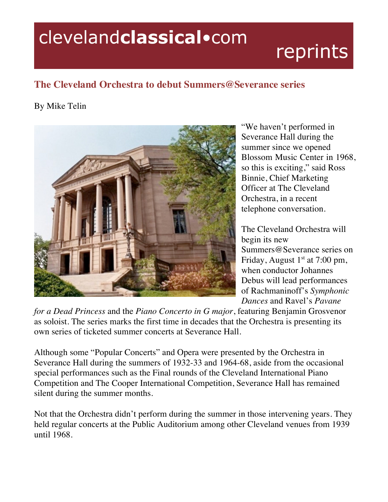## clevelandclassical.com

## reprints

## **The Cleveland Orchestra to debut Summers@Severance series**

## By Mike Telin



"We haven't performed in Severance Hall during the summer since we opened Blossom Music Center in 1968, so this is exciting," said Ross Binnie, Chief Marketing Officer at The Cleveland Orchestra, in a recent telephone conversation.

The Cleveland Orchestra will begin its new Summers@Severance series on Friday, August  $1<sup>st</sup>$  at 7:00 pm, when conductor Johannes Debus will lead performances of Rachmaninoff's *Symphonic Dances* and Ravel's *Pavane* 

*for a Dead Princess* and the *Piano Concerto in G major*, featuring Benjamin Grosvenor as soloist. The series marks the first time in decades that the Orchestra is presenting its own series of ticketed summer concerts at Severance Hall.

Although some "Popular Concerts" and Opera were presented by the Orchestra in Severance Hall during the summers of 1932-33 and 1964-68, aside from the occasional special performances such as the Final rounds of the Cleveland International Piano Competition and The Cooper International Competition, Severance Hall has remained silent during the summer months.

Not that the Orchestra didn't perform during the summer in those intervening years. They held regular concerts at the Public Auditorium among other Cleveland venues from 1939 until 1968.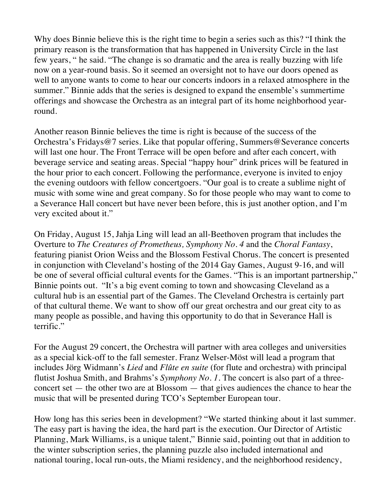Why does Binnie believe this is the right time to begin a series such as this? "I think the primary reason is the transformation that has happened in University Circle in the last few years, " he said. "The change is so dramatic and the area is really buzzing with life now on a year-round basis. So it seemed an oversight not to have our doors opened as well to anyone wants to come to hear our concerts indoors in a relaxed atmosphere in the summer." Binnie adds that the series is designed to expand the ensemble's summertime offerings and showcase the Orchestra as an integral part of its home neighborhood yearround.

Another reason Binnie believes the time is right is because of the success of the Orchestra's Fridays@7 series. Like that popular offering, Summers@Severance concerts will last one hour. The Front Terrace will be open before and after each concert, with beverage service and seating areas. Special "happy hour" drink prices will be featured in the hour prior to each concert. Following the performance, everyone is invited to enjoy the evening outdoors with fellow concertgoers. "Our goal is to create a sublime night of music with some wine and great company. So for those people who may want to come to a Severance Hall concert but have never been before, this is just another option, and I'm very excited about it."

On Friday, August 15, Jahja Ling will lead an all-Beethoven program that includes the Overture to *The Creatures of Prometheus, Symphony No. 4* and the *Choral Fantasy*, featuring pianist Orion Weiss and the Blossom Festival Chorus. The concert is presented in conjunction with Cleveland's hosting of the 2014 Gay Games, August 9-16, and will be one of several official cultural events for the Games. "This is an important partnership," Binnie points out. "It's a big event coming to town and showcasing Cleveland as a cultural hub is an essential part of the Games. The Cleveland Orchestra is certainly part of that cultural theme. We want to show off our great orchestra and our great city to as many people as possible, and having this opportunity to do that in Severance Hall is terrific."

For the August 29 concert, the Orchestra will partner with area colleges and universities as a special kick-off to the fall semester. Franz Welser-Möst will lead a program that includes Jörg Widmann's *Lied* and *Flûte en suite* (for flute and orchestra) with principal flutist Joshua Smith, and Brahms's *Symphony No. 1*. The concert is also part of a threeconcert set — the other two are at Blossom — that gives audiences the chance to hear the music that will be presented during TCO's September European tour.

How long has this series been in development? "We started thinking about it last summer. The easy part is having the idea, the hard part is the execution. Our Director of Artistic Planning, Mark Williams, is a unique talent," Binnie said, pointing out that in addition to the winter subscription series, the planning puzzle also included international and national touring, local run-outs, the Miami residency, and the neighborhood residency,